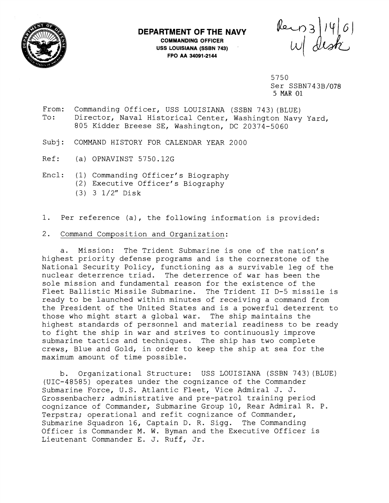

## **DEPARTMENT OF THE NAVY**

**COMMANDING OFFICER USS LOUISIANA (SSBN 743)** ' **FPO AA 34091-2144** 

Rein 3/14/01

5750 Ser SSBN743B/078 5 MAR 01

- From: Commanding Officer, USS LOUISIANA (SSBN 743) (BLUE) To: Director, Naval Historical Center, Washington Navy Yard, 805 Kidder Breese SE, Washington, DC 20374-5060
- Subj: COMMAND HISTORY FOR CALENDAR YEAR 2000
- Ref: (a) OPNAVINST 5750.12G
- Encl: (1) Commanding Officer's Biography
	- (2) Executive Officer' s Biography
	- (3) 3 1/2" Disk
- 1. Per reference (a), the following information is provided:
- 2. Command Composition and Organization:

a. Mission: The Trident Submarine is one of the nation's highest priority defense programs and is the cornerstone of the National Security Policy, functioning as a survivable leg of the nuclear deterrence triad. The deterrence of war has been the sole mission and fundamental reason for the existence of the Fleet Ballistic Missile Submarine. The Trident I1 D-5 missile is ready to be launched within minutes of receiving a command from the President of the United States and is a powerful deterrent to those who might start a global war. The ship maintains the highest standards of personnel and material readiness to be ready to fight the ship in war and strives to continuously improve submarine tactics and techniques. The ship has two complete crews, Blue and Gold, in order to keep the ship at sea for the maximum amount of time possible.

b. Organizational Structure: USS LOUISIANA (SSBN 743)(BLUE) (UIC-48585) operates under the cognizance of the Commander Submarine Force, U.S. Atlantic Fleet, Vice Admiral J. J. Grossenbacher; administrative and pre-patrol training period cognizance of Commander, Submarine Group 10, Rear Admiral R. P. Terpstra; operational and refit cognizance of Commander, Submarine Squadron 16, Captain D. R. Sigg. The Commanding Officer is Commander M. W. Byman and the Executive Officer is Lieutenant Commander E. J. Ruff, Jr.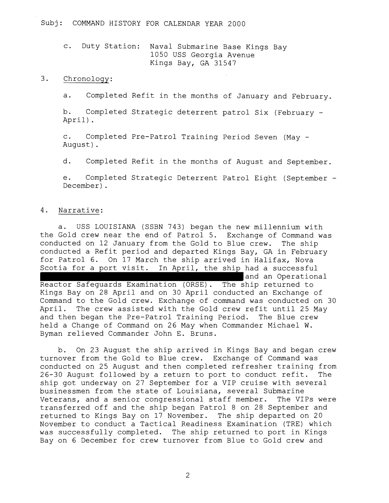c. Duty Station: Naval Submarine Base Kings Bay 1050 USS Georgia Avenue Kings Bay, GA 31547

## $3.$ Chronology:

a. Completed Refit in the months of January and February.

b. Completed Strategic deterrent patrol Six (February - April).

c. Completed Pre-Patrol Training Period Seven (May - August) .

d. Completed Refit in the months of August and September.

e. Completed Strategic Deterrent Patrol Eight (September - December) .

## 4. Narrative:

a. USS LOUISIANA (SSBN 743) began the new millennium with the Gold crew near the end of Patrol 5. Exchange of Command was conducted on 12 January from the Gold to Blue crew. The ship conducted a Refit period and departed Kings Bay, GA in February for Patrol 6. On 17 March the ship arrived in Halifax, Nova Scotia for a port visit. In April, the ship had a successful and an Operational Reactor Safeguards Examination (ORSE). The ship returned to Kings Bay on 28 April and on 30 April conducted an Exchange of Command to the Gold crew. Exchange of command was conducted on 30 April. The crew assisted with the Gold crew refit until 25 May and then began the Pre-Patrol Training Period. The Blue crew held a Change of Command on 26 May when Commander Michael W. Byman relieved Commander John E. Bruns.

b. On 23 August the ship arrived in Kings Bay and began crew turnover from the Gold to Blue crew. Exchange of Command was conducted on 25 August and then completed refresher training from 26-30 August followed by a return to port to conduct refit. The ship got underway on 27 September for a VIP cruise with several businessmen from the state of Louisiana, several Submarine Veterans, and a senior congressional staff member. The VIPs were transferred off and the ship began Patrol 8 on 28 September and returned to Kings Bay on 17 November. The ship departed on 20 November to conduct a Tactical Readiness Examination (TRE) which was successfully completed. The ship returned to port in Kings Bay on 6 December for crew turnover from Blue to Gold crew and